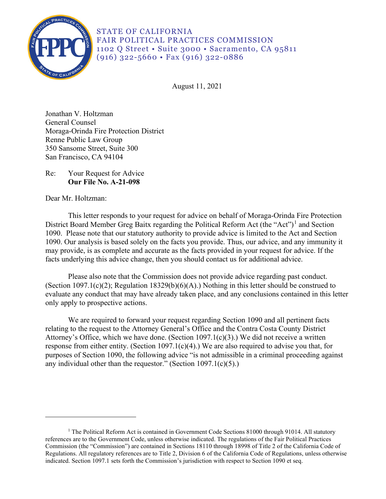

STATE OF CALIFORNIA FAIR POLITICAL PRACTICES COMMISSION 1102 Q Street • Suite 3000 • Sacramento, CA 95811 (916) 322-5660 • Fax (916) 322-0886

August 11, 2021

Jonathan V. Holtzman General Counsel Moraga-Orinda Fire Protection District Renne Public Law Group 350 Sansome Street, Suite 300 San Francisco, CA 94104

Re: Your Request for Advice **Our File No. A-21-098** 

Dear Mr. Holtzman:

This letter responds to your request for advice on behalf of Moraga-Orinda Fire Protection District Board Member Greg Baitx regarding the Political Reform Act (the "Act")<sup>[1](#page-0-0)</sup> and Section 1090. Please note that our statutory authority to provide advice is limited to the Act and Section 1090. Our analysis is based solely on the facts you provide. Thus, our advice, and any immunity it may provide, is as complete and accurate as the facts provided in your request for advice. If the facts underlying this advice change, then you should contact us for additional advice.

Please also note that the Commission does not provide advice regarding past conduct. (Section 1097.1(c)(2); Regulation 18329(b)(6)(A).) Nothing in this letter should be construed to evaluate any conduct that may have already taken place, and any conclusions contained in this letter only apply to prospective actions.

 relating to the request to the Attorney General's Office and the Contra Costa County District We are required to forward your request regarding Section 1090 and all pertinent facts Attorney's Office, which we have done. (Section 1097.1(c)(3).) We did not receive a written response from either entity. (Section 1097.1(c)(4).) We are also required to advise you that, for purposes of Section 1090, the following advice "is not admissible in a criminal proceeding against any individual other than the requestor." (Section 1097.1(c)(5).)

<span id="page-0-0"></span><sup>&</sup>lt;sup>1</sup> The Political Reform Act is contained in Government Code Sections 81000 through 91014. All statutory references are to the Government Code, unless otherwise indicated. The regulations of the Fair Political Practices Commission (the "Commission") are contained in Sections 18110 through 18998 of Title 2 of the California Code of Regulations. All regulatory references are to Title 2, Division 6 of the California Code of Regulations, unless otherwise indicated. Section 1097.1 sets forth the Commission's jurisdiction with respect to Section 1090 et seq.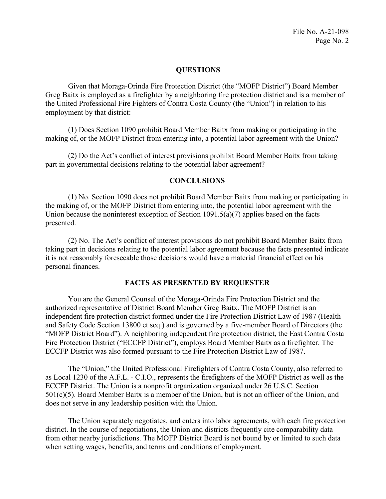## **QUESTIONS**

Given that Moraga-Orinda Fire Protection District (the "MOFP District") Board Member Greg Baitx is employed as a firefighter by a neighboring fire protection district and is a member of the United Professional Fire Fighters of Contra Costa County (the "Union") in relation to his employment by that district:

making of, or the MOFP District from entering into, a potential labor agreement with the Union? (1) Does Section 1090 prohibit Board Member Baitx from making or participating in the

(2) Do the Act's conflict of interest provisions prohibit Board Member Baitx from taking part in governmental decisions relating to the potential labor agreement?

### **CONCLUSIONS**

(1) No. Section 1090 does not prohibit Board Member Baitx from making or participating in the making of, or the MOFP District from entering into, the potential labor agreement with the Union because the noninterest exception of Section 1091.5(a)(7) applies based on the facts presented.

 (2) No. The Act's conflict of interest provisions do not prohibit Board Member Baitx from it is not reasonably foreseeable those decisions would have a material financial effect on his taking part in decisions relating to the potential labor agreement because the facts presented indicate personal finances.

#### **FACTS AS PRESENTED BY REQUESTER**

You are the General Counsel of the Moraga-Orinda Fire Protection District and the authorized representative of District Board Member Greg Baitx. The MOFP District is an independent fire protection district formed under the Fire Protection District Law of 1987 (Health and Safety Code Section 13800 et seq.) and is governed by a five-member Board of Directors (the "MOFP District Board"). A neighboring independent fire protection district, the East Contra Costa Fire Protection District ("ECCFP District"), employs Board Member Baitx as a firefighter. The ECCFP District was also formed pursuant to the Fire Protection District Law of 1987.

 as Local 1230 of the A.F.L. - C.I.O., represents the firefighters of the MOFP District as well as the The "Union," the United Professional Firefighters of Contra Costa County, also referred to ECCFP District. The Union is a nonprofit organization organized under 26 U.S.C. Section 501(c)(5). Board Member Baitx is a member of the Union, but is not an officer of the Union, and does not serve in any leadership position with the Union.

 district. In the course of negotiations, the Union and districts frequently cite comparability data The Union separately negotiates, and enters into labor agreements, with each fire protection from other nearby jurisdictions. The MOFP District Board is not bound by or limited to such data when setting wages, benefits, and terms and conditions of employment.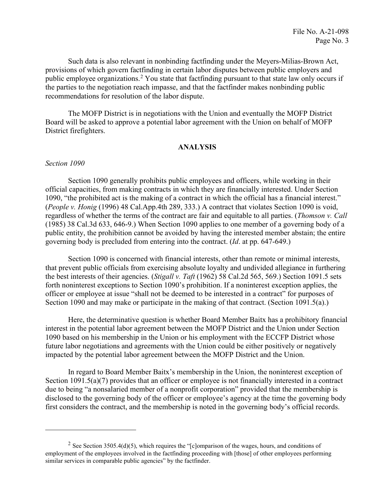Such data is also relevant in nonbinding factfinding under the Meyers-Milias-Brown Act, provisions of which govern factfinding in certain labor disputes between public employers and public employee organizations.<sup>2</sup> You state that factfinding pursuant to that state law only occurs if the parties to the negotiation reach impasse, and that the factfinder makes nonbinding public recommendations for resolution of the labor dispute.

The MOFP District is in negotiations with the Union and eventually the MOFP District Board will be asked to approve a potential labor agreement with the Union on behalf of MOFP District firefighters.

#### **ANALYSIS**

#### *Section 1090*

Section 1090 generally prohibits public employees and officers, while working in their official capacities, from making contracts in which they are financially interested. Under Section 1090, "the prohibited act is the making of a contract in which the official has a financial interest." (*People v. Honig* (1996) 48 Cal.App.4th 289, 333.) A contract that violates Section 1090 is void, regardless of whether the terms of the contract are fair and equitable to all parties. (*Thomson v. Call*  (1985) 38 Cal.3d 633, 646-9.) When Section 1090 applies to one member of a governing body of a public entity, the prohibition cannot be avoided by having the interested member abstain; the entire governing body is precluded from entering into the contract. (*Id*. at pp. 647-649.)

 the best interests of their agencies. (*Stigall v. Taft* (1962) 58 Cal.2d 565, 569.) Section 1091.5 sets Section 1090 and may make or participate in the making of that contract. (Section 1091.5(a).) Section 1090 is concerned with financial interests, other than remote or minimal interests, that prevent public officials from exercising absolute loyalty and undivided allegiance in furthering forth noninterest exceptions to Section 1090's prohibition. If a noninterest exception applies, the officer or employee at issue "shall not be deemed to be interested in a contract" for purposes of

 impacted by the potential labor agreement between the MOFP District and the Union. Here, the determinative question is whether Board Member Baitx has a prohibitory financial interest in the potential labor agreement between the MOFP District and the Union under Section 1090 based on his membership in the Union or his employment with the ECCFP District whose future labor negotiations and agreements with the Union could be either positively or negatively

 Section 1091.5(a)(7) provides that an officer or employee is not financially interested in a contract In regard to Board Member Baitx's membership in the Union, the noninterest exception of due to being "a nonsalaried member of a nonprofit corporation" provided that the membership is disclosed to the governing body of the officer or employee's agency at the time the governing body first considers the contract, and the membership is noted in the governing body's official records.

<span id="page-2-0"></span><sup>&</sup>lt;sup>2</sup> See Section 3505.4(d)(5), which requires the "[c]omparison of the wages, hours, and conditions of employment of the employees involved in the factfinding proceeding with [those] of other employees performing similar services in comparable public agencies" by the factfinder.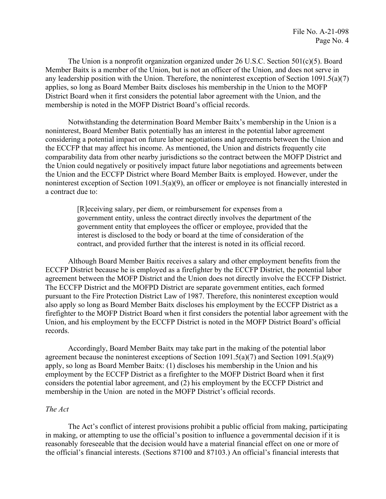The Union is a nonprofit organization organized under 26 U.S.C. Section  $501(c)(5)$ . Board Member Baitx is a member of the Union, but is not an officer of the Union, and does not serve in any leadership position with the Union. Therefore, the noninterest exception of Section 1091.5(a)(7) applies, so long as Board Member Baitx discloses his membership in the Union to the MOFP District Board when it first considers the potential labor agreement with the Union, and the membership is noted in the MOFP District Board's official records.

a contract due to: Notwithstanding the determination Board Member Baitx's membership in the Union is a noninterest, Board Member Batix potentially has an interest in the potential labor agreement considering a potential impact on future labor negotiations and agreements between the Union and the ECCFP that may affect his income. As mentioned, the Union and districts frequently cite comparability data from other nearby jurisdictions so the contract between the MOFP District and the Union could negatively or positively impact future labor negotiations and agreements between the Union and the ECCFP District where Board Member Baitx is employed. However, under the noninterest exception of Section 1091.5(a)(9), an officer or employee is not financially interested in

> contract, and provided further that the interest is noted in its official record. [R]eceiving salary, per diem, or reimbursement for expenses from a government entity, unless the contract directly involves the department of the government entity that employees the officer or employee, provided that the interest is disclosed to the body or board at the time of consideration of the

 ECCFP District because he is employed as a firefighter by the ECCFP District, the potential labor Although Board Member Baitix receives a salary and other employment benefits from the agreement between the MOFP District and the Union does not directly involve the ECCFP District. The ECCFP District and the MOFPD District are separate government entities, each formed pursuant to the Fire Protection District Law of 1987. Therefore, this noninterest exception would also apply so long as Board Member Baitx discloses his employment by the ECCFP District as a firefighter to the MOFP District Board when it first considers the potential labor agreement with the Union, and his employment by the ECCFP District is noted in the MOFP District Board's official records.

Accordingly, Board Member Baitx may take part in the making of the potential labor agreement because the noninterest exceptions of Section 1091.5(a)(7) and Section 1091.5(a)(9) apply, so long as Board Member Baitx: (1) discloses his membership in the Union and his employment by the ECCFP District as a firefighter to the MOFP District Board when it first considers the potential labor agreement, and (2) his employment by the ECCFP District and membership in the Union are noted in the MOFP District's official records.

## *The Act*

The Act's conflict of interest provisions prohibit a public official from making, participating in making, or attempting to use the official's position to influence a governmental decision if it is reasonably foreseeable that the decision would have a material financial effect on one or more of the official's financial interests. (Sections 87100 and 87103.) An official's financial interests that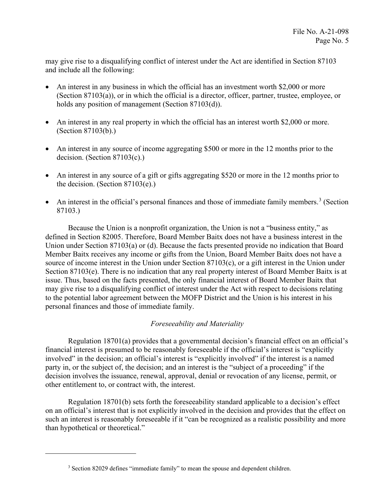and include all the following: may give rise to a disqualifying conflict of interest under the Act are identified in Section 87103

- An interest in any business in which the official has an investment worth \$2,000 or more (Section 87103(a)), or in which the official is a director, officer, partner, trustee, employee, or holds any position of management (Section 87103(d)).
- An interest in any real property in which the official has an interest worth \$2,000 or more. (Section 87103(b).)
- An interest in any source of income aggregating \$500 or more in the 12 months prior to the decision. (Section 87103(c).)
- An interest in any source of a gift or gifts aggregating \$520 or more in the 12 months prior to the decision. (Section 87103(e).)
- An interest in the official's personal finances and those of immediate family members.<sup>[3](#page-4-0)</sup> (Section 87103.)

Because the Union is a nonprofit organization, the Union is not a "business entity," as defined in Section 82005. Therefore, Board Member Baitx does not have a business interest in the Union under Section 87103(a) or (d). Because the facts presented provide no indication that Board Member Baitx receives any income or gifts from the Union, Board Member Baitx does not have a source of income interest in the Union under Section 87103(c), or a gift interest in the Union under Section 87103(e). There is no indication that any real property interest of Board Member Baitx is at issue. Thus, based on the facts presented, the only financial interest of Board Member Baitx that may give rise to a disqualifying conflict of interest under the Act with respect to decisions relating to the potential labor agreement between the MOFP District and the Union is his interest in his personal finances and those of immediate family.

# *Foreseeability and Materiality*

Regulation 18701(a) provides that a governmental decision's financial effect on an official's financial interest is presumed to be reasonably foreseeable if the official's interest is "explicitly involved" in the decision; an official's interest is "explicitly involved" if the interest is a named party in, or the subject of, the decision; and an interest is the "subject of a proceeding" if the decision involves the issuance, renewal, approval, denial or revocation of any license, permit, or other entitlement to, or contract with, the interest.

 Regulation 18701(b) sets forth the foreseeability standard applicable to a decision's effect than hypothetical or theoretical." on an official's interest that is not explicitly involved in the decision and provides that the effect on such an interest is reasonably foreseeable if it "can be recognized as a realistic possibility and more

<span id="page-4-0"></span><sup>&</sup>lt;sup>3</sup> Section 82029 defines "immediate family" to mean the spouse and dependent children.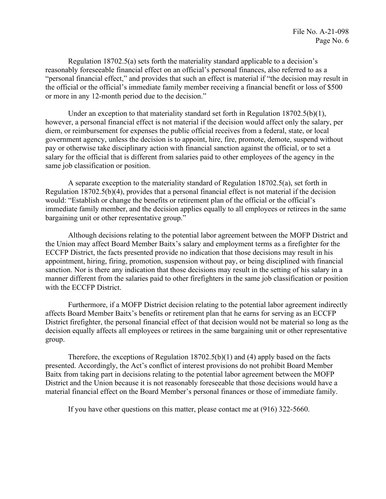Regulation 18702.5(a) sets forth the materiality standard applicable to a decision's reasonably foreseeable financial effect on an official's personal finances, also referred to as a "personal financial effect," and provides that such an effect is material if "the decision may result in the official or the official's immediate family member receiving a financial benefit or loss of \$500 or more in any 12-month period due to the decision."

Under an exception to that materiality standard set forth in Regulation 18702.5(b)(1), however, a personal financial effect is not material if the decision would affect only the salary, per diem, or reimbursement for expenses the public official receives from a federal, state, or local government agency, unless the decision is to appoint, hire, fire, promote, demote, suspend without pay or otherwise take disciplinary action with financial sanction against the official, or to set a salary for the official that is different from salaries paid to other employees of the agency in the same job classification or position.

A separate exception to the materiality standard of Regulation 18702.5(a), set forth in Regulation 18702.5(b)(4), provides that a personal financial effect is not material if the decision would: "Establish or change the benefits or retirement plan of the official or the official's immediate family member, and the decision applies equally to all employees or retirees in the same bargaining unit or other representative group."

 Although decisions relating to the potential labor agreement between the MOFP District and ECCFP District, the facts presented provide no indication that those decisions may result in his sanction. Nor is there any indication that those decisions may result in the setting of his salary in a the Union may affect Board Member Baitx's salary and employment terms as a firefighter for the appointment, hiring, firing, promotion, suspension without pay, or being disciplined with financial manner different from the salaries paid to other firefighters in the same job classification or position with the ECCFP District.

 District firefighter, the personal financial effect of that decision would not be material so long as the Furthermore, if a MOFP District decision relating to the potential labor agreement indirectly affects Board Member Baitx's benefits or retirement plan that he earns for serving as an ECCFP decision equally affects all employees or retirees in the same bargaining unit or other representative group.

 Therefore, the exceptions of Regulation 18702.5(b)(1) and (4) apply based on the facts presented. Accordingly, the Act's conflict of interest provisions do not prohibit Board Member Baitx from taking part in decisions relating to the potential labor agreement between the MOFP District and the Union because it is not reasonably foreseeable that those decisions would have a material financial effect on the Board Member's personal finances or those of immediate family.

If you have other questions on this matter, please contact me at (916) 322-5660.